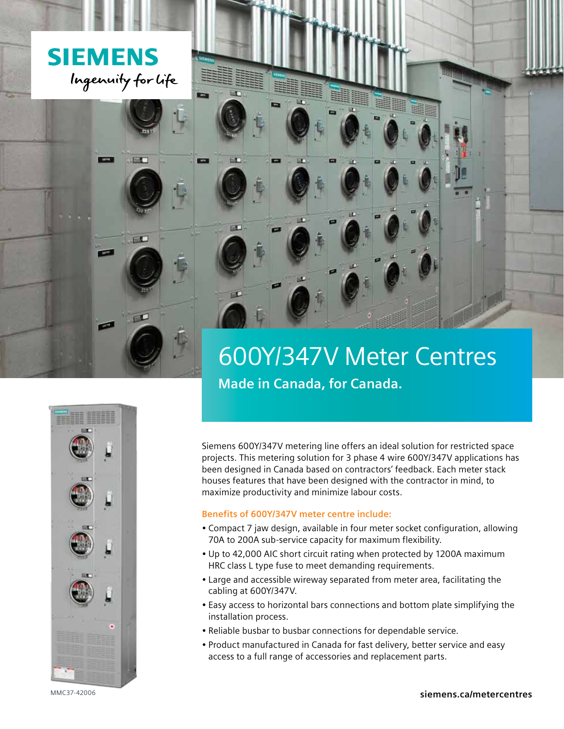

图 3

三

# 600Y/347V Meter Centres **Made in Canada, for Canada.**



Siemens 600Y/347V metering line offers an ideal solution for restricted space projects. This metering solution for 3 phase 4 wire 600Y/347V applications has been designed in Canada based on contractors' feedback. Each meter stack houses features that have been designed with the contractor in mind, to maximize productivity and minimize labour costs.

### **Benefits of 600Y/347V meter centre include:**

- Compact 7 jaw design, available in four meter socket configuration, allowing 70A to 200A sub-service capacity for maximum flexibility.
- Up to 42,000 AIC short circuit rating when protected by 1200A maximum HRC class L type fuse to meet demanding requirements.
- Large and accessible wireway separated from meter area, facilitating the cabling at 600Y/347V.
- Easy access to horizontal bars connections and bottom plate simplifying the installation process.
- Reliable busbar to busbar connections for dependable service.
- Product manufactured in Canada for fast delivery, better service and easy access to a full range of accessories and replacement parts.